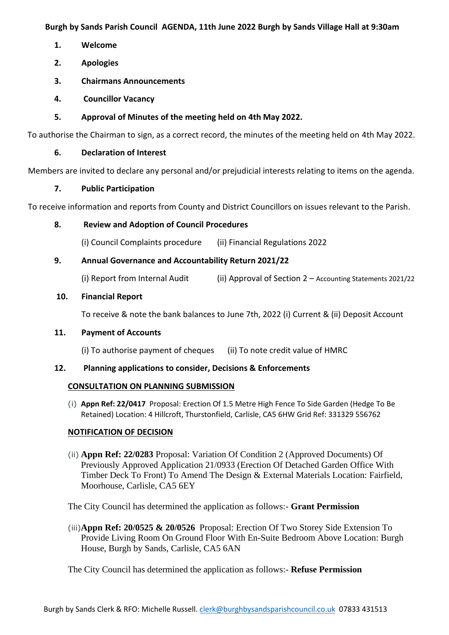**Burgh by Sands Parish Council AGENDA, 11th June 2022 Burgh by Sands Village Hall at 9:30am**

- **1. Welcome**
- **2. Apologies**
- **3. Chairmans Announcements**
- **4. Councillor Vacancy**
- **5. Approval of Minutes of the meeting held on 4th May 2022.**

To authorise the Chairman to sign, as a correct record, the minutes of the meeting held on 4th May 2022.

# **6. Declaration of Interest**

Members are invited to declare any personal and/or prejudicial interests relating to items on the agenda.

## **7. Public Participation**

To receive information and reports from County and District Councillors on issues relevant to the Parish.

# **8. Review and Adoption of Council Procedures**

(i) Council Complaints procedure (ii) Financial Regulations 2022

# **9. Annual Governance and Accountability Return 2021/22**

(i) Report from Internal Audit (ii) Approval of Section  $2 -$  Accounting Statements 2021/22

# **10. Financial Report**

To receive & note the bank balances to June 7th, 2022 (i) Current & (ii) Deposit Account

## **11. Payment of Accounts**

(i) To authorise payment of cheques (ii) To note credit value of HMRC

## **12. Planning applications to consider, Decisions & Enforcements**

## **CONSULTATION ON PLANNING SUBMISSION**

(i) **Appn Ref: 22/0417** Proposal: Erection Of 1.5 Metre High Fence To Side Garden (Hedge To Be Retained) Location: 4 Hillcroft, Thurstonfield, Carlisle, CA5 6HW Grid Ref: 331329 556762

## **NOTIFICATION OF DECISION**

(ii) **Appn Ref: 22/0283** Proposal: Variation Of Condition 2 (Approved Documents) Of Previously Approved Application 21/0933 (Erection Of Detached Garden Office With Timber Deck To Front) To Amend The Design & External Materials Location: Fairfield, Moorhouse, Carlisle, CA5 6EY

The City Council has determined the application as follows:- **Grant Permission**

(iii)**Appn Ref: 20/0525 & 20/0526** Proposal: Erection Of Two Storey Side Extension To Provide Living Room On Ground Floor With En-Suite Bedroom Above Location: Burgh House, Burgh by Sands, Carlisle, CA5 6AN

The City Council has determined the application as follows:- **Refuse Permission**